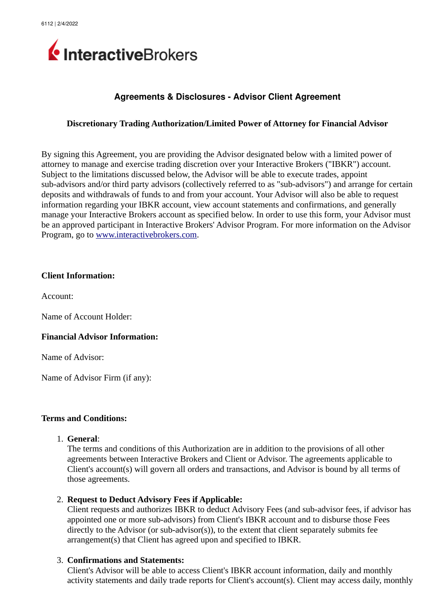

# **Agreements & Disclosures Advisor Client Agreement**

# **Discretionary Trading Authorization/Limited Power of Attorney for Financial Advisor**

By signing this Agreement, you are providing the Advisor designated below with a limited power of attorney to manage and exercise trading discretion over your Interactive Brokers ("IBKR") account. Subject to the limitations discussed below, the Advisor will be able to execute trades, appoint sub-advisors and/or third party advisors (collectively referred to as "sub-advisors") and arrange for certain deposits and withdrawals of funds to and from your account. Your Advisor will also be able to request information regarding your IBKR account, view account statements and confirmations, and generally manage your Interactive Brokers account as specified below. In order to use this form, your Advisor must be an approved participant in Interactive Brokers' Advisor Program. For more information on the Advisor Program, go to [www.interactivebrokers.com.](http://www.interactivebrokers.com/)

#### **Client Information:**

Account:

Name of Account Holder:

#### **Financial Advisor Information:**

Name of Advisor:

Name of Advisor Firm (if any):

#### **Terms and Conditions:**

1. **General**:

The terms and conditions of this Authorization are in addition to the provisions of all other agreements between Interactive Brokers and Client or Advisor. The agreements applicable to Client's account(s) will govern all orders and transactions, and Advisor is bound by all terms of those agreements.

## 2. **Request to Deduct Advisory Fees if Applicable:**

Client requests and authorizes IBKR to deduct Advisory Fees (and sub-advisor fees, if advisor has appointed one or more sub-advisors) from Client's IBKR account and to disburse those Fees directly to the Advisor (or sub-advisor(s)), to the extent that client separately submits fee arrangement(s) that Client has agreed upon and specified to IBKR.

## 3. **Confirmations and Statements:**

Client's Advisor will be able to access Client's IBKR account information, daily and monthly activity statements and daily trade reports for Client's account(s). Client may access daily, monthly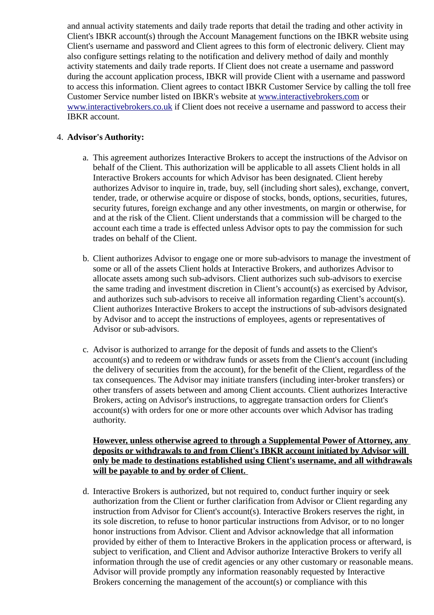and annual activity statements and daily trade reports that detail the trading and other activity in Client's IBKR account(s) through the Account Management functions on the IBKR website using Client's username and password and Client agrees to this form of electronic delivery. Client may also configure settings relating to the notification and delivery method of daily and monthly activity statements and daily trade reports. If Client does not create a username and password during the account application process, IBKR will provide Client with a username and password to access this information. Client agrees to contact IBKR Customer Service by calling the toll free Customer Service number listed on IBKR's website at [www.interactivebrokers.com](http://www.interactivebrokers.com/) or [www.interactivebrokers.co.uk](http://www.interactivebrokers.co.uk/) if Client does not receive a username and password to access their IBKR account.

# 4. **Advisor's Authority:**

- a. This agreement authorizes Interactive Brokers to accept the instructions of the Advisor on behalf of the Client. This authorization will be applicable to all assets Client holds in all Interactive Brokers accounts for which Advisor has been designated. Client hereby authorizes Advisor to inquire in, trade, buy, sell (including short sales), exchange, convert, tender, trade, or otherwise acquire or dispose of stocks, bonds, options, securities, futures, security futures, foreign exchange and any other investments, on margin or otherwise, for and at the risk of the Client. Client understands that a commission will be charged to the account each time a trade is effected unless Advisor opts to pay the commission for such trades on behalf of the Client.
- b. Client authorizes Advisor to engage one or more sub-advisors to manage the investment of some or all of the assets Client holds at Interactive Brokers, and authorizes Advisor to allocate assets among such sub-advisors. Client authorizes such sub-advisors to exercise the same trading and investment discretion in Client's account(s) as exercised by Advisor, and authorizes such sub-advisors to receive all information regarding Client's account(s). Client authorizes Interactive Brokers to accept the instructions of sub-advisors designated by Advisor and to accept the instructions of employees, agents or representatives of Advisor or sub-advisors.
- c. Advisor is authorized to arrange for the deposit of funds and assets to the Client's account(s) and to redeem or withdraw funds or assets from the Client's account (including the delivery of securities from the account), for the benefit of the Client, regardless of the tax consequences. The Advisor may initiate transfers (including inter-broker transfers) or other transfers of assets between and among Client accounts. Client authorizes Interactive Brokers, acting on Advisor's instructions, to aggregate transaction orders for Client's account(s) with orders for one or more other accounts over which Advisor has trading authority.

# **However, unless otherwise agreed to through a Supplemental Power of Attorney, any deposits or withdrawals to and from Client's IBKR account initiated by Advisor will only be made to destinations established using Client's username, and all withdrawals will be payable to and by order of Client.**

d. Interactive Brokers is authorized, but not required to, conduct further inquiry or seek authorization from the Client or further clarification from Advisor or Client regarding any instruction from Advisor for Client's account(s). Interactive Brokers reserves the right, in its sole discretion, to refuse to honor particular instructions from Advisor, or to no longer honor instructions from Advisor. Client and Advisor acknowledge that all information provided by either of them to Interactive Brokers in the application process or afterward, is subject to verification, and Client and Advisor authorize Interactive Brokers to verify all information through the use of credit agencies or any other customary or reasonable means. Advisor will provide promptly any information reasonably requested by Interactive Brokers concerning the management of the account(s) or compliance with this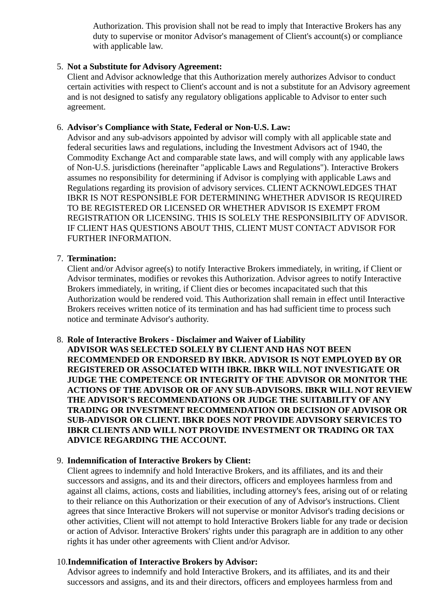Authorization. This provision shall not be read to imply that Interactive Brokers has any duty to supervise or monitor Advisor's management of Client's account(s) or compliance with applicable law.

# 5. **Not a Substitute for Advisory Agreement:**

Client and Advisor acknowledge that this Authorization merely authorizes Advisor to conduct certain activities with respect to Client's account and is not a substitute for an Advisory agreement and is not designed to satisfy any regulatory obligations applicable to Advisor to enter such agreement.

# 6. **Advisor's Compliance with State, Federal or Non-U.S. Law:**

Advisor and any sub-advisors appointed by advisor will comply with all applicable state and federal securities laws and regulations, including the Investment Advisors act of 1940, the Commodity Exchange Act and comparable state laws, and will comply with any applicable laws of Non-U.S. jurisdictions (hereinafter "applicable Laws and Regulations"). Interactive Brokers assumes no responsibility for determining if Advisor is complying with applicable Laws and Regulations regarding its provision of advisory services. CLIENT ACKNOWLEDGES THAT IBKR IS NOT RESPONSIBLE FOR DETERMINING WHETHER ADVISOR IS REQUIRED TO BE REGISTERED OR LICENSED OR WHETHER ADVISOR IS EXEMPT FROM REGISTRATION OR LICENSING. THIS IS SOLELY THE RESPONSIBILITY OF ADVISOR. IF CLIENT HAS QUESTIONS ABOUT THIS, CLIENT MUST CONTACT ADVISOR FOR FURTHER INFORMATION.

## 7. **Termination:**

Client and/or Advisor agree(s) to notify Interactive Brokers immediately, in writing, if Client or Advisor terminates, modifies or revokes this Authorization. Advisor agrees to notify Interactive Brokers immediately, in writing, if Client dies or becomes incapacitated such that this Authorization would be rendered void. This Authorization shall remain in effect until Interactive Brokers receives written notice of its termination and has had sufficient time to process such notice and terminate Advisor's authority.

## 8. **Role of Interactive Brokers - Disclaimer and Waiver of Liability**

**ADVISOR WAS SELECTED SOLELY BY CLIENT AND HAS NOT BEEN RECOMMENDED OR ENDORSED BY IBKR. ADVISOR IS NOT EMPLOYED BY OR REGISTERED OR ASSOCIATED WITH IBKR. IBKR WILL NOT INVESTIGATE OR JUDGE THE COMPETENCE OR INTEGRITY OF THE ADVISOR OR MONITOR THE ACTIONS OF THE ADVISOR OR OF ANY SUB-ADVISORS. IBKR WILL NOT REVIEW THE ADVISOR'S RECOMMENDATIONS OR JUDGE THE SUITABILITY OF ANY TRADING OR INVESTMENT RECOMMENDATION OR DECISION OF ADVISOR OR SUB-ADVISOR OR CLIENT. IBKR DOES NOT PROVIDE ADVISORY SERVICES TO IBKR CLIENTS AND WILL NOT PROVIDE INVESTMENT OR TRADING OR TAX ADVICE REGARDING THE ACCOUNT.**

## 9. **Indemnification of Interactive Brokers by Client:**

Client agrees to indemnify and hold Interactive Brokers, and its affiliates, and its and their successors and assigns, and its and their directors, officers and employees harmless from and against all claims, actions, costs and liabilities, including attorney's fees, arising out of or relating to their reliance on this Authorization or their execution of any of Advisor's instructions. Client agrees that since Interactive Brokers will not supervise or monitor Advisor's trading decisions or other activities, Client will not attempt to hold Interactive Brokers liable for any trade or decision or action of Advisor. Interactive Brokers' rights under this paragraph are in addition to any other rights it has under other agreements with Client and/or Advisor.

## 10.**Indemnification of Interactive Brokers by Advisor:**

Advisor agrees to indemnify and hold Interactive Brokers, and its affiliates, and its and their successors and assigns, and its and their directors, officers and employees harmless from and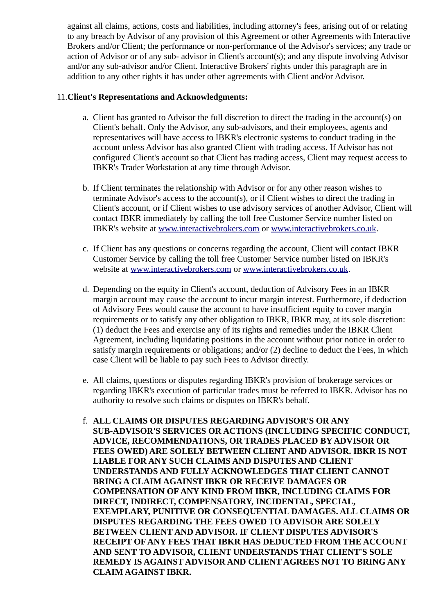against all claims, actions, costs and liabilities, including attorney's fees, arising out of or relating to any breach by Advisor of any provision of this Agreement or other Agreements with Interactive Brokers and/or Client; the performance or non-performance of the Advisor's services; any trade or action of Advisor or of any sub- advisor in Client's account(s); and any dispute involving Advisor and/or any sub-advisor and/or Client. Interactive Brokers' rights under this paragraph are in addition to any other rights it has under other agreements with Client and/or Advisor.

# 11.**Client's Representations and Acknowledgments:**

- a. Client has granted to Advisor the full discretion to direct the trading in the account(s) on Client's behalf. Only the Advisor, any sub-advisors, and their employees, agents and representatives will have access to IBKR's electronic systems to conduct trading in the account unless Advisor has also granted Client with trading access. If Advisor has not configured Client's account so that Client has trading access, Client may request access to IBKR's Trader Workstation at any time through Advisor.
- b. If Client terminates the relationship with Advisor or for any other reason wishes to terminate Advisor's access to the account(s), or if Client wishes to direct the trading in Client's account, or if Client wishes to use advisory services of another Advisor, Client will contact IBKR immediately by calling the toll free Customer Service number listed on IBKR's website at [www.interactivebrokers.com](http://www.interactivebrokers.com/) or [www.interactivebrokers.co.uk.](http://www.interactivebrokers.co.uk/)
- c. If Client has any questions or concerns regarding the account, Client will contact IBKR Customer Service by calling the toll free Customer Service number listed on IBKR's website at [www.interactivebrokers.com](http://www.interactivebrokers.com/) or [www.interactivebrokers.co.uk.](http://www.interactivebrokers.co.uk/)
- d. Depending on the equity in Client's account, deduction of Advisory Fees in an IBKR margin account may cause the account to incur margin interest. Furthermore, if deduction of Advisory Fees would cause the account to have insufficient equity to cover margin requirements or to satisfy any other obligation to IBKR, IBKR may, at its sole discretion: (1) deduct the Fees and exercise any of its rights and remedies under the IBKR Client Agreement, including liquidating positions in the account without prior notice in order to satisfy margin requirements or obligations; and/or (2) decline to deduct the Fees, in which case Client will be liable to pay such Fees to Advisor directly.
- e. All claims, questions or disputes regarding IBKR's provision of brokerage services or regarding IBKR's execution of particular trades must be referred to IBKR. Advisor has no authority to resolve such claims or disputes on IBKR's behalf.
- f. **ALL CLAIMS OR DISPUTES REGARDING ADVISOR'S OR ANY SUB-ADVISOR'S SERVICES OR ACTIONS (INCLUDING SPECIFIC CONDUCT, ADVICE, RECOMMENDATIONS, OR TRADES PLACED BY ADVISOR OR FEES OWED) ARE SOLELY BETWEEN CLIENT AND ADVISOR. IBKR IS NOT LIABLE FOR ANY SUCH CLAIMS AND DISPUTES AND CLIENT UNDERSTANDS AND FULLY ACKNOWLEDGES THAT CLIENT CANNOT BRING A CLAIM AGAINST IBKR OR RECEIVE DAMAGES OR COMPENSATION OF ANY KIND FROM IBKR, INCLUDING CLAIMS FOR DIRECT, INDIRECT, COMPENSATORY, INCIDENTAL, SPECIAL, EXEMPLARY, PUNITIVE OR CONSEQUENTIAL DAMAGES. ALL CLAIMS OR DISPUTES REGARDING THE FEES OWED TO ADVISOR ARE SOLELY BETWEEN CLIENT AND ADVISOR. IF CLIENT DISPUTES ADVISOR'S RECEIPT OF ANY FEES THAT IBKR HAS DEDUCTED FROM THE ACCOUNT AND SENT TO ADVISOR, CLIENT UNDERSTANDS THAT CLIENT'S SOLE REMEDY IS AGAINST ADVISOR AND CLIENT AGREES NOT TO BRING ANY CLAIM AGAINST IBKR.**